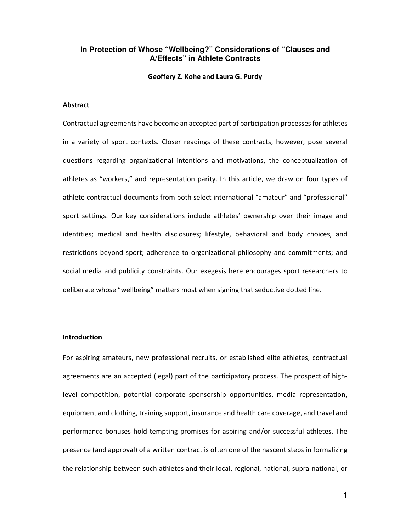# **In Protection of Whose "Wellbeing?" Considerations of "Clauses and A/Effects" in Athlete Contracts**

**Geoffery Z. Kohe and Laura G. Purdy** 

# **Abstract**

Contractual agreements have become an accepted part of participation processes for athletes in a variety of sport contexts. Closer readings of these contracts, however, pose several questions regarding organizational intentions and motivations, the conceptualization of athletes as "workers," and representation parity. In this article, we draw on four types of athlete contractual documents from both select international "amateur" and "professional" sport settings. Our key considerations include athletes' ownership over their image and identities; medical and health disclosures; lifestyle, behavioral and body choices, and restrictions beyond sport; adherence to organizational philosophy and commitments; and social media and publicity constraints. Our exegesis here encourages sport researchers to deliberate whose "wellbeing" matters most when signing that seductive dotted line.

## **Introduction**

For aspiring amateurs, new professional recruits, or established elite athletes, contractual agreements are an accepted (legal) part of the participatory process. The prospect of highlevel competition, potential corporate sponsorship opportunities, media representation, equipment and clothing, training support, insurance and health care coverage, and travel and performance bonuses hold tempting promises for aspiring and/or successful athletes. The presence (and approval) of a written contract is often one of the nascent steps in formalizing the relationship between such athletes and their local, regional, national, supra-national, or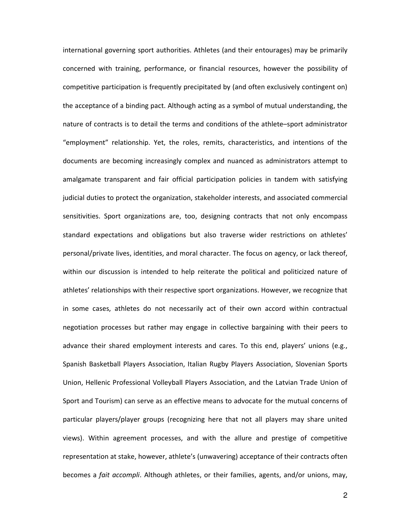international governing sport authorities. Athletes (and their entourages) may be primarily concerned with training, performance, or financial resources, however the possibility of competitive participation is frequently precipitated by (and often exclusively contingent on) the acceptance of a binding pact. Although acting as a symbol of mutual understanding, the nature of contracts is to detail the terms and conditions of the athlete–sport administrator "employment" relationship. Yet, the roles, remits, characteristics, and intentions of the documents are becoming increasingly complex and nuanced as administrators attempt to amalgamate transparent and fair official participation policies in tandem with satisfying judicial duties to protect the organization, stakeholder interests, and associated commercial sensitivities. Sport organizations are, too, designing contracts that not only encompass standard expectations and obligations but also traverse wider restrictions on athletes' personal/private lives, identities, and moral character. The focus on agency, or lack thereof, within our discussion is intended to help reiterate the political and politicized nature of athletes' relationships with their respective sport organizations. However, we recognize that in some cases, athletes do not necessarily act of their own accord within contractual negotiation processes but rather may engage in collective bargaining with their peers to advance their shared employment interests and cares. To this end, players' unions (e.g., Spanish Basketball Players Association, Italian Rugby Players Association, Slovenian Sports Union, Hellenic Professional Volleyball Players Association, and the Latvian Trade Union of Sport and Tourism) can serve as an effective means to advocate for the mutual concerns of particular players/player groups (recognizing here that not all players may share united views). Within agreement processes, and with the allure and prestige of competitive representation at stake, however, athlete's (unwavering) acceptance of their contracts often becomes a *fait accompli*. Although athletes, or their families, agents, and/or unions, may,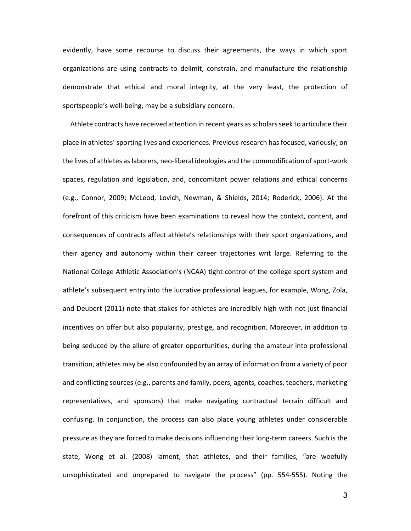evidently, have some recourse to discuss their agreements, the ways in which sport organizations are using contracts to delimit, constrain, and manufacture the relationship demonstrate that ethical and moral integrity, at the very least, the protection of sportspeople's well-being, may be a subsidiary concern.

Athlete contracts have received attention in recent years as scholars seek to articulate their place in athletes' sporting lives and experiences. Previous research has focused, variously, on the lives of athletes as laborers, neo-liberal ideologies and the commodification of sport-work spaces, regulation and legislation, and, concomitant power relations and ethical concerns (e.g., Connor, 2009; McLeod, Lovich, Newman, & Shields, 2014; Roderick, 2006). At the forefront of this criticism have been examinations to reveal how the context, content, and consequences of contracts affect athlete's relationships with their sport organizations, and their agency and autonomy within their career trajectories writ large. Referring to the National College Athletic Association's (NCAA) tight control of the college sport system and athlete's subsequent entry into the lucrative professional leagues, for example, Wong, Zola, and Deubert (2011) note that stakes for athletes are incredibly high with not just financial incentives on offer but also popularity, prestige, and recognition. Moreover, in addition to being seduced by the allure of greater opportunities, during the amateur into professional transition, athletes may be also confounded by an array of information from a variety of poor and conflicting sources (e.g., parents and family, peers, agents, coaches, teachers, marketing representatives, and sponsors) that make navigating contractual terrain difficult and confusing. In conjunction, the process can also place young athletes under considerable pressure as they are forced to make decisions influencing their long-term careers. Such is the state, Wong et al. (2008) lament, that athletes, and their families, "are woefully unsophisticated and unprepared to navigate the process" (pp. 554-555). Noting the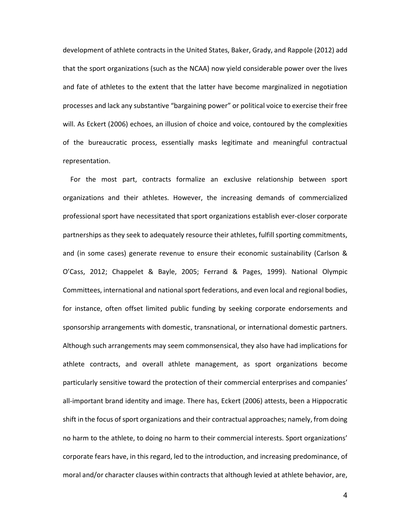development of athlete contracts in the United States, Baker, Grady, and Rappole (2012) add that the sport organizations (such as the NCAA) now yield considerable power over the lives and fate of athletes to the extent that the latter have become marginalized in negotiation processes and lack any substantive "bargaining power" or political voice to exercise their free will. As Eckert (2006) echoes, an illusion of choice and voice, contoured by the complexities of the bureaucratic process, essentially masks legitimate and meaningful contractual representation.

For the most part, contracts formalize an exclusive relationship between sport organizations and their athletes. However, the increasing demands of commercialized professional sport have necessitated that sport organizations establish ever-closer corporate partnerships as they seek to adequately resource their athletes, fulfill sporting commitments, and (in some cases) generate revenue to ensure their economic sustainability (Carlson & O'Cass, 2012; Chappelet & Bayle, 2005; Ferrand & Pages, 1999). National Olympic Committees, international and national sport federations, and even local and regional bodies, for instance, often offset limited public funding by seeking corporate endorsements and sponsorship arrangements with domestic, transnational, or international domestic partners. Although such arrangements may seem commonsensical, they also have had implications for athlete contracts, and overall athlete management, as sport organizations become particularly sensitive toward the protection of their commercial enterprises and companies' all-important brand identity and image. There has, Eckert (2006) attests, been a Hippocratic shift in the focus of sport organizations and their contractual approaches; namely, from doing no harm to the athlete, to doing no harm to their commercial interests. Sport organizations' corporate fears have, in this regard, led to the introduction, and increasing predominance, of moral and/or character clauses within contracts that although levied at athlete behavior, are,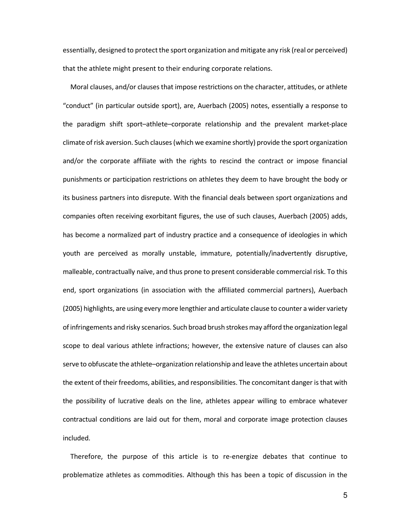essentially, designed to protect the sport organization and mitigate any risk (real or perceived) that the athlete might present to their enduring corporate relations.

Moral clauses, and/or clauses that impose restrictions on the character, attitudes, or athlete "conduct" (in particular outside sport), are, Auerbach (2005) notes, essentially a response to the paradigm shift sport–athlete–corporate relationship and the prevalent market-place climate of risk aversion. Such clauses (which we examine shortly) provide the sport organization and/or the corporate affiliate with the rights to rescind the contract or impose financial punishments or participation restrictions on athletes they deem to have brought the body or its business partners into disrepute. With the financial deals between sport organizations and companies often receiving exorbitant figures, the use of such clauses, Auerbach (2005) adds, has become a normalized part of industry practice and a consequence of ideologies in which youth are perceived as morally unstable, immature, potentially/inadvertently disruptive, malleable, contractually naïve, and thus prone to present considerable commercial risk. To this end, sport organizations (in association with the affiliated commercial partners), Auerbach (2005) highlights, are using every more lengthier and articulate clause to counter a wider variety of infringements and risky scenarios. Such broad brush strokes may afford the organization legal scope to deal various athlete infractions; however, the extensive nature of clauses can also serve to obfuscate the athlete–organization relationship and leave the athletes uncertain about the extent of their freedoms, abilities, and responsibilities. The concomitant danger is that with the possibility of lucrative deals on the line, athletes appear willing to embrace whatever contractual conditions are laid out for them, moral and corporate image protection clauses included.

Therefore, the purpose of this article is to re-energize debates that continue to problematize athletes as commodities. Although this has been a topic of discussion in the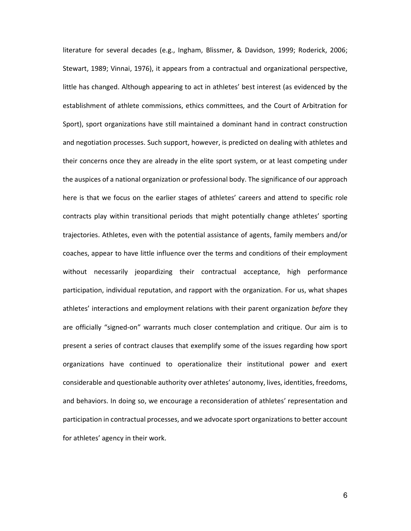literature for several decades (e.g., Ingham, Blissmer, & Davidson, 1999; Roderick, 2006; Stewart, 1989; Vinnai, 1976), it appears from a contractual and organizational perspective, little has changed. Although appearing to act in athletes' best interest (as evidenced by the establishment of athlete commissions, ethics committees, and the Court of Arbitration for Sport), sport organizations have still maintained a dominant hand in contract construction and negotiation processes. Such support, however, is predicted on dealing with athletes and their concerns once they are already in the elite sport system, or at least competing under the auspices of a national organization or professional body. The significance of our approach here is that we focus on the earlier stages of athletes' careers and attend to specific role contracts play within transitional periods that might potentially change athletes' sporting trajectories. Athletes, even with the potential assistance of agents, family members and/or coaches, appear to have little influence over the terms and conditions of their employment without necessarily jeopardizing their contractual acceptance, high performance participation, individual reputation, and rapport with the organization. For us, what shapes athletes' interactions and employment relations with their parent organization *before* they are officially "signed-on" warrants much closer contemplation and critique. Our aim is to present a series of contract clauses that exemplify some of the issues regarding how sport organizations have continued to operationalize their institutional power and exert considerable and questionable authority over athletes' autonomy, lives, identities, freedoms, and behaviors. In doing so, we encourage a reconsideration of athletes' representation and participation in contractual processes, and we advocate sport organizations to better account for athletes' agency in their work.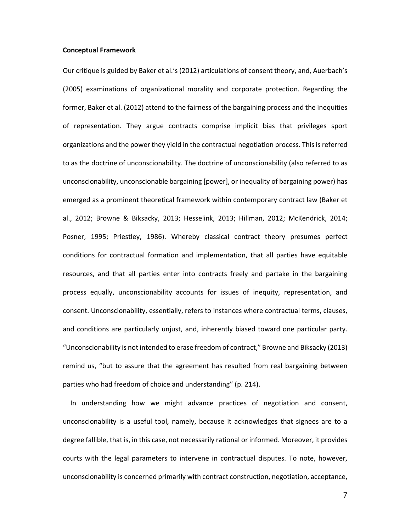## **Conceptual Framework**

Our critique is guided by Baker et al.'s (2012) articulations of consent theory, and, Auerbach's (2005) examinations of organizational morality and corporate protection. Regarding the former, Baker et al. (2012) attend to the fairness of the bargaining process and the inequities of representation. They argue contracts comprise implicit bias that privileges sport organizations and the power they yield in the contractual negotiation process. This is referred to as the doctrine of unconscionability. The doctrine of unconscionability (also referred to as unconscionability, unconscionable bargaining [power], or inequality of bargaining power) has emerged as a prominent theoretical framework within contemporary contract law (Baker et al., 2012; Browne & Biksacky, 2013; Hesselink, 2013; Hillman, 2012; McKendrick, 2014; Posner, 1995; Priestley, 1986). Whereby classical contract theory presumes perfect conditions for contractual formation and implementation, that all parties have equitable resources, and that all parties enter into contracts freely and partake in the bargaining process equally, unconscionability accounts for issues of inequity, representation, and consent. Unconscionability, essentially, refers to instances where contractual terms, clauses, and conditions are particularly unjust, and, inherently biased toward one particular party. "Unconscionability is not intended to erase freedom of contract," Browne and Biksacky (2013) remind us, "but to assure that the agreement has resulted from real bargaining between parties who had freedom of choice and understanding" (p. 214).

In understanding how we might advance practices of negotiation and consent, unconscionability is a useful tool, namely, because it acknowledges that signees are to a degree fallible, that is, in this case, not necessarily rational or informed. Moreover, it provides courts with the legal parameters to intervene in contractual disputes. To note, however, unconscionability is concerned primarily with contract construction, negotiation, acceptance,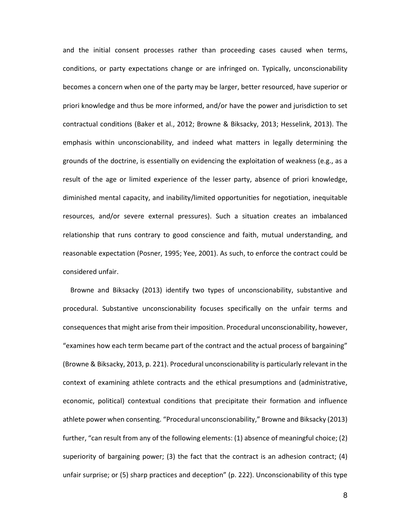and the initial consent processes rather than proceeding cases caused when terms, conditions, or party expectations change or are infringed on. Typically, unconscionability becomes a concern when one of the party may be larger, better resourced, have superior or priori knowledge and thus be more informed, and/or have the power and jurisdiction to set contractual conditions (Baker et al., 2012; Browne & Biksacky, 2013; Hesselink, 2013). The emphasis within unconscionability, and indeed what matters in legally determining the grounds of the doctrine, is essentially on evidencing the exploitation of weakness (e.g., as a result of the age or limited experience of the lesser party, absence of priori knowledge, diminished mental capacity, and inability/limited opportunities for negotiation, inequitable resources, and/or severe external pressures). Such a situation creates an imbalanced relationship that runs contrary to good conscience and faith, mutual understanding, and reasonable expectation (Posner, 1995; Yee, 2001). As such, to enforce the contract could be considered unfair.

Browne and Biksacky (2013) identify two types of unconscionability, substantive and procedural. Substantive unconscionability focuses specifically on the unfair terms and consequences that might arise from their imposition. Procedural unconscionability, however, "examines how each term became part of the contract and the actual process of bargaining" (Browne & Biksacky, 2013, p. 221). Procedural unconscionability is particularly relevant in the context of examining athlete contracts and the ethical presumptions and (administrative, economic, political) contextual conditions that precipitate their formation and influence athlete power when consenting. "Procedural unconscionability," Browne and Biksacky (2013) further, "can result from any of the following elements: (1) absence of meaningful choice; (2) superiority of bargaining power; (3) the fact that the contract is an adhesion contract; (4) unfair surprise; or (5) sharp practices and deception" (p. 222). Unconscionability of this type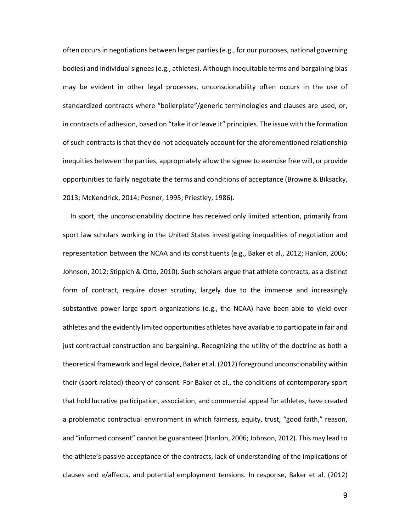often occurs in negotiations between larger parties (e.g., for our purposes, national governing bodies) and individual signees (e.g., athletes). Although inequitable terms and bargaining bias may be evident in other legal processes, unconscionability often occurs in the use of standardized contracts where "boilerplate"/generic terminologies and clauses are used, or, in contracts of adhesion, based on "take it or leave it" principles. The issue with the formation of such contracts is that they do not adequately account for the aforementioned relationship inequities between the parties, appropriately allow the signee to exercise free will, or provide opportunities to fairly negotiate the terms and conditions of acceptance (Browne & Biksacky, 2013; McKendrick, 2014; Posner, 1995; Priestley, 1986).

In sport, the unconscionability doctrine has received only limited attention, primarily from sport law scholars working in the United States investigating inequalities of negotiation and representation between the NCAA and its constituents (e.g., Baker et al., 2012; Hanlon, 2006; Johnson, 2012; Stippich & Otto, 2010). Such scholars argue that athlete contracts, as a distinct form of contract, require closer scrutiny, largely due to the immense and increasingly substantive power large sport organizations (e.g., the NCAA) have been able to yield over athletes and the evidently limited opportunities athletes have available to participate in fair and just contractual construction and bargaining. Recognizing the utility of the doctrine as both a theoretical framework and legal device, Baker et al. (2012) foreground unconscionability within their (sport-related) theory of consent. For Baker et al., the conditions of contemporary sport that hold lucrative participation, association, and commercial appeal for athletes, have created a problematic contractual environment in which fairness, equity, trust, "good faith," reason, and "informed consent" cannot be guaranteed (Hanlon, 2006; Johnson, 2012). This may lead to the athlete's passive acceptance of the contracts, lack of understanding of the implications of clauses and e/affects, and potential employment tensions. In response, Baker et al. (2012)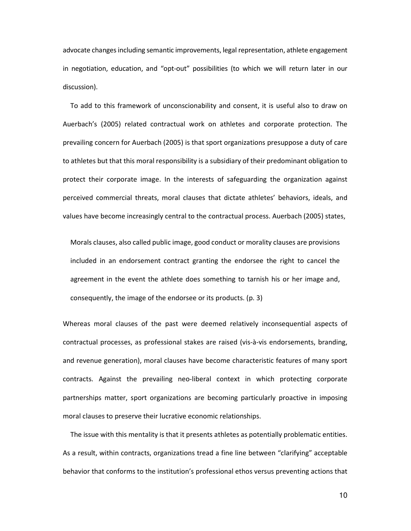advocate changes including semantic improvements, legal representation, athlete engagement in negotiation, education, and "opt-out" possibilities (to which we will return later in our discussion).

To add to this framework of unconscionability and consent, it is useful also to draw on Auerbach's (2005) related contractual work on athletes and corporate protection. The prevailing concern for Auerbach (2005) is that sport organizations presuppose a duty of care to athletes but that this moral responsibility is a subsidiary of their predominant obligation to protect their corporate image. In the interests of safeguarding the organization against perceived commercial threats, moral clauses that dictate athletes' behaviors, ideals, and values have become increasingly central to the contractual process. Auerbach (2005) states,

Morals clauses, also called public image, good conduct or morality clauses are provisions included in an endorsement contract granting the endorsee the right to cancel the agreement in the event the athlete does something to tarnish his or her image and, consequently, the image of the endorsee or its products. (p. 3)

Whereas moral clauses of the past were deemed relatively inconsequential aspects of contractual processes, as professional stakes are raised (vis-à-vis endorsements, branding, and revenue generation), moral clauses have become characteristic features of many sport contracts. Against the prevailing neo-liberal context in which protecting corporate partnerships matter, sport organizations are becoming particularly proactive in imposing moral clauses to preserve their lucrative economic relationships.

The issue with this mentality is that it presents athletes as potentially problematic entities. As a result, within contracts, organizations tread a fine line between "clarifying" acceptable behavior that conforms to the institution's professional ethos versus preventing actions that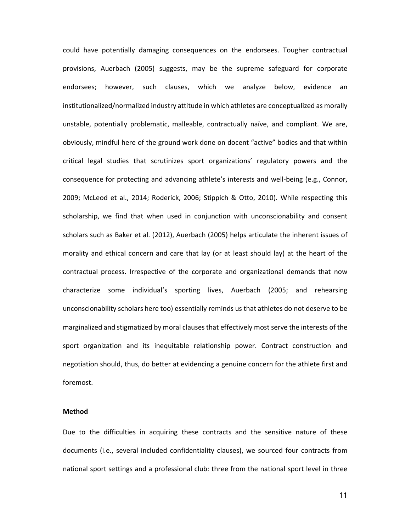could have potentially damaging consequences on the endorsees. Tougher contractual provisions, Auerbach (2005) suggests, may be the supreme safeguard for corporate endorsees; however, such clauses, which we analyze below, evidence an institutionalized/normalized industry attitude in which athletes are conceptualized as morally unstable, potentially problematic, malleable, contractually naïve, and compliant. We are, obviously, mindful here of the ground work done on docent "active" bodies and that within critical legal studies that scrutinizes sport organizations' regulatory powers and the consequence for protecting and advancing athlete's interests and well-being (e.g., Connor, 2009; McLeod et al., 2014; Roderick, 2006; Stippich & Otto, 2010). While respecting this scholarship, we find that when used in conjunction with unconscionability and consent scholars such as Baker et al. (2012), Auerbach (2005) helps articulate the inherent issues of morality and ethical concern and care that lay (or at least should lay) at the heart of the contractual process. Irrespective of the corporate and organizational demands that now characterize some individual's sporting lives, Auerbach (2005; and rehearsing unconscionability scholars here too) essentially reminds us that athletes do not deserve to be marginalized and stigmatized by moral clauses that effectively most serve the interests of the sport organization and its inequitable relationship power. Contract construction and negotiation should, thus, do better at evidencing a genuine concern for the athlete first and foremost.

## **Method**

Due to the difficulties in acquiring these contracts and the sensitive nature of these documents (i.e., several included confidentiality clauses), we sourced four contracts from national sport settings and a professional club: three from the national sport level in three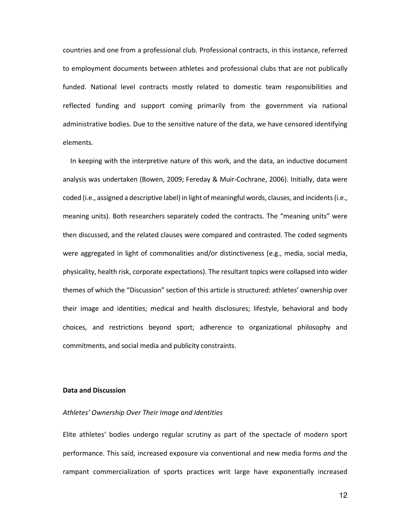countries and one from a professional club. Professional contracts, in this instance, referred to employment documents between athletes and professional clubs that are not publically funded. National level contracts mostly related to domestic team responsibilities and reflected funding and support coming primarily from the government via national administrative bodies. Due to the sensitive nature of the data, we have censored identifying elements.

In keeping with the interpretive nature of this work, and the data, an inductive document analysis was undertaken (Bowen, 2009; Fereday & Muir-Cochrane, 2006). Initially, data were coded (i.e., assigned a descriptive label) in light of meaningful words, clauses, and incidents (i.e., meaning units). Both researchers separately coded the contracts. The "meaning units" were then discussed, and the related clauses were compared and contrasted. The coded segments were aggregated in light of commonalities and/or distinctiveness (e.g., media, social media, physicality, health risk, corporate expectations). The resultant topics were collapsed into wider themes of which the "Discussion" section of this article is structured: athletes' ownership over their image and identities; medical and health disclosures; lifestyle, behavioral and body choices, and restrictions beyond sport; adherence to organizational philosophy and commitments, and social media and publicity constraints.

#### **Data and Discussion**

#### *Athletes' Ownership Over Their Image and Identities*

Elite athletes' bodies undergo regular scrutiny as part of the spectacle of modern sport performance. This said, increased exposure via conventional and new media forms *and* the rampant commercialization of sports practices writ large have exponentially increased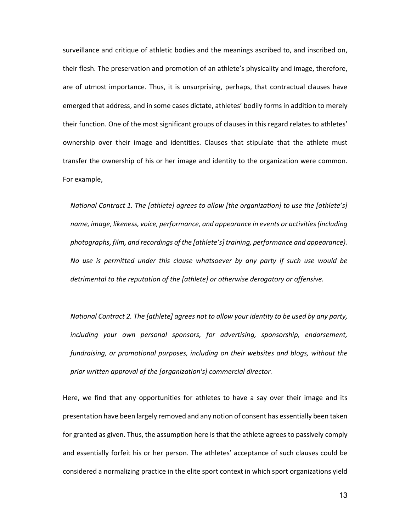surveillance and critique of athletic bodies and the meanings ascribed to, and inscribed on, their flesh. The preservation and promotion of an athlete's physicality and image, therefore, are of utmost importance. Thus, it is unsurprising, perhaps, that contractual clauses have emerged that address, and in some cases dictate, athletes' bodily forms in addition to merely their function. One of the most significant groups of clauses in this regard relates to athletes' ownership over their image and identities. Clauses that stipulate that the athlete must transfer the ownership of his or her image and identity to the organization were common. For example,

*National Contract 1. The [athlete] agrees to allow [the organization] to use the [athlete's] name, image, likeness, voice, performance, and appearance in events or activities (including photographs, film, and recordings of the [athlete's] training, performance and appearance). No use is permitted under this clause whatsoever by any party if such use would be detrimental to the reputation of the [athlete] or otherwise derogatory or offensive.* 

*National Contract 2. The [athlete] agrees not to allow your identity to be used by any party, including your own personal sponsors, for advertising, sponsorship, endorsement, fundraising, or promotional purposes, including on their websites and blogs, without the prior written approval of the [organization's] commercial director.* 

Here, we find that any opportunities for athletes to have a say over their image and its presentation have been largely removed and any notion of consent has essentially been taken for granted as given. Thus, the assumption here is that the athlete agrees to passively comply and essentially forfeit his or her person. The athletes' acceptance of such clauses could be considered a normalizing practice in the elite sport context in which sport organizations yield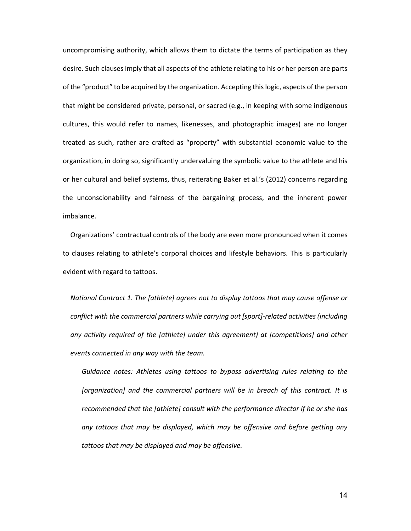uncompromising authority, which allows them to dictate the terms of participation as they desire. Such clauses imply that all aspects of the athlete relating to his or her person are parts of the "product" to be acquired by the organization. Accepting this logic, aspects of the person that might be considered private, personal, or sacred (e.g., in keeping with some indigenous cultures, this would refer to names, likenesses, and photographic images) are no longer treated as such, rather are crafted as "property" with substantial economic value to the organization, in doing so, significantly undervaluing the symbolic value to the athlete and his or her cultural and belief systems, thus, reiterating Baker et al.'s (2012) concerns regarding the unconscionability and fairness of the bargaining process, and the inherent power imbalance.

Organizations' contractual controls of the body are even more pronounced when it comes to clauses relating to athlete's corporal choices and lifestyle behaviors. This is particularly evident with regard to tattoos.

*National Contract 1. The [athlete] agrees not to display tattoos that may cause offense or conflict with the commercial partners while carrying out [sport]-related activities (including any activity required of the [athlete] under this agreement) at [competitions] and other events connected in any way with the team.* 

*Guidance notes: Athletes using tattoos to bypass advertising rules relating to the [organization] and the commercial partners will be in breach of this contract. It is recommended that the [athlete] consult with the performance director if he or she has any tattoos that may be displayed, which may be offensive and before getting any tattoos that may be displayed and may be offensive.*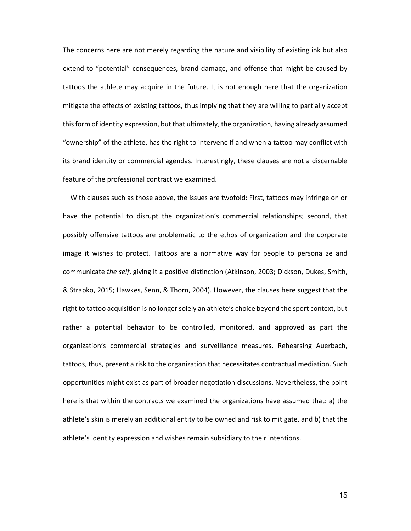The concerns here are not merely regarding the nature and visibility of existing ink but also extend to "potential" consequences, brand damage, and offense that might be caused by tattoos the athlete may acquire in the future. It is not enough here that the organization mitigate the effects of existing tattoos, thus implying that they are willing to partially accept this form of identity expression, but that ultimately, the organization, having already assumed "ownership" of the athlete, has the right to intervene if and when a tattoo may conflict with its brand identity or commercial agendas. Interestingly, these clauses are not a discernable feature of the professional contract we examined.

With clauses such as those above, the issues are twofold: First, tattoos may infringe on or have the potential to disrupt the organization's commercial relationships; second, that possibly offensive tattoos are problematic to the ethos of organization and the corporate image it wishes to protect. Tattoos are a normative way for people to personalize and communicate *the self*, giving it a positive distinction (Atkinson, 2003; Dickson, Dukes, Smith, & Strapko, 2015; Hawkes, Senn, & Thorn, 2004). However, the clauses here suggest that the right to tattoo acquisition is no longer solely an athlete's choice beyond the sport context, but rather a potential behavior to be controlled, monitored, and approved as part the organization's commercial strategies and surveillance measures. Rehearsing Auerbach, tattoos, thus, present a risk to the organization that necessitates contractual mediation. Such opportunities might exist as part of broader negotiation discussions. Nevertheless, the point here is that within the contracts we examined the organizations have assumed that: a) the athlete's skin is merely an additional entity to be owned and risk to mitigate, and b) that the athlete's identity expression and wishes remain subsidiary to their intentions.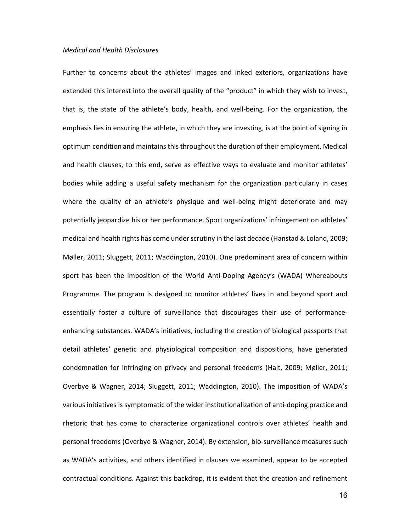## *Medical and Health Disclosures*

Further to concerns about the athletes' images and inked exteriors, organizations have extended this interest into the overall quality of the "product" in which they wish to invest, that is, the state of the athlete's body, health, and well-being. For the organization, the emphasis lies in ensuring the athlete, in which they are investing, is at the point of signing in optimum condition and maintains this throughout the duration of their employment. Medical and health clauses, to this end, serve as effective ways to evaluate and monitor athletes' bodies while adding a useful safety mechanism for the organization particularly in cases where the quality of an athlete's physique and well-being might deteriorate and may potentially jeopardize his or her performance. Sport organizations' infringement on athletes' medical and health rights has come under scrutiny in the last decade (Hanstad & Loland, 2009; Møller, 2011; Sluggett, 2011; Waddington, 2010). One predominant area of concern within sport has been the imposition of the World Anti-Doping Agency's (WADA) Whereabouts Programme. The program is designed to monitor athletes' lives in and beyond sport and essentially foster a culture of surveillance that discourages their use of performanceenhancing substances. WADA's initiatives, including the creation of biological passports that detail athletes' genetic and physiological composition and dispositions, have generated condemnation for infringing on privacy and personal freedoms (Halt, 2009; Møller, 2011; Overbye & Wagner, 2014; Sluggett, 2011; Waddington, 2010). The imposition of WADA's various initiatives is symptomatic of the wider institutionalization of anti-doping practice and rhetoric that has come to characterize organizational controls over athletes' health and personal freedoms (Overbye & Wagner, 2014). By extension, bio-surveillance measures such as WADA's activities, and others identified in clauses we examined, appear to be accepted contractual conditions. Against this backdrop, it is evident that the creation and refinement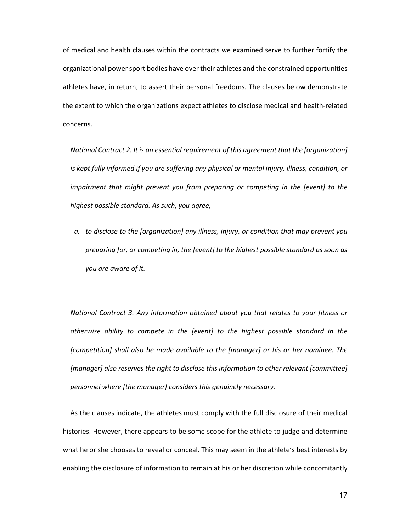of medical and health clauses within the contracts we examined serve to further fortify the organizational power sport bodies have over their athletes and the constrained opportunities athletes have, in return, to assert their personal freedoms. The clauses below demonstrate the extent to which the organizations expect athletes to disclose medical and health-related concerns.

*National Contract 2. It is an essential requirement of this agreement that the [organization] is kept fully informed if you are suffering any physical or mental injury, illness, condition, or impairment that might prevent you from preparing or competing in the [event] to the highest possible standard. As such, you agree,* 

*a. to disclose to the [organization] any illness, injury, or condition that may prevent you preparing for, or competing in, the [event] to the highest possible standard as soon as you are aware of it.* 

*National Contract 3. Any information obtained about you that relates to your fitness or otherwise ability to compete in the [event] to the highest possible standard in the [competition] shall also be made available to the [manager] or his or her nominee. The*  [manager] also reserves the right to disclose this information to other relevant [committee] *personnel where [the manager] considers this genuinely necessary.* 

As the clauses indicate, the athletes must comply with the full disclosure of their medical histories. However, there appears to be some scope for the athlete to judge and determine what he or she chooses to reveal or conceal. This may seem in the athlete's best interests by enabling the disclosure of information to remain at his or her discretion while concomitantly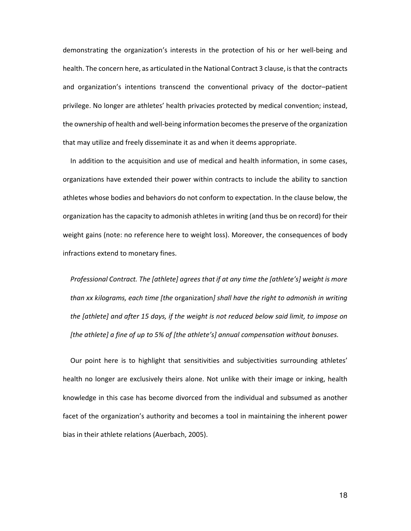demonstrating the organization's interests in the protection of his or her well-being and health. The concern here, as articulated in the National Contract 3 clause, is that the contracts and organization's intentions transcend the conventional privacy of the doctor–patient privilege. No longer are athletes' health privacies protected by medical convention; instead, the ownership of health and well-being information becomes the preserve of the organization that may utilize and freely disseminate it as and when it deems appropriate.

In addition to the acquisition and use of medical and health information, in some cases, organizations have extended their power within contracts to include the ability to sanction athletes whose bodies and behaviors do not conform to expectation. In the clause below, the organization has the capacity to admonish athletes in writing (and thus be on record) for their weight gains (note: no reference here to weight loss). Moreover, the consequences of body infractions extend to monetary fines.

*Professional Contract. The [athlete] agrees that if at any time the [athlete's] weight is more than xx kilograms, each time [the* organization*] shall have the right to admonish in writing the [athlete] and after 15 days, if the weight is not reduced below said limit, to impose on [the athlete] a fine of up to 5% of [the athlete's] annual compensation without bonuses.* 

Our point here is to highlight that sensitivities and subjectivities surrounding athletes' health no longer are exclusively theirs alone. Not unlike with their image or inking, health knowledge in this case has become divorced from the individual and subsumed as another facet of the organization's authority and becomes a tool in maintaining the inherent power bias in their athlete relations (Auerbach, 2005).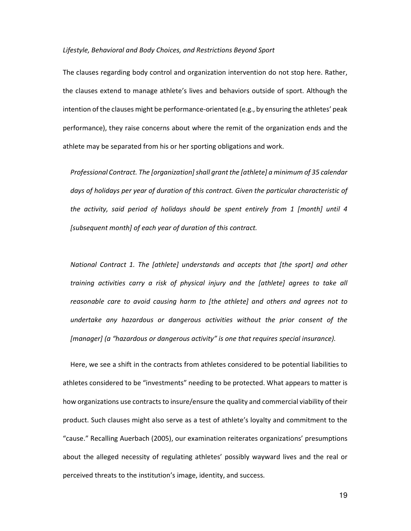#### *Lifestyle, Behavioral and Body Choices, and Restrictions Beyond Sport*

The clauses regarding body control and organization intervention do not stop here. Rather, the clauses extend to manage athlete's lives and behaviors outside of sport. Although the intention of the clauses might be performance-orientated (e.g., by ensuring the athletes' peak performance), they raise concerns about where the remit of the organization ends and the athlete may be separated from his or her sporting obligations and work.

*Professional Contract. The [organization] shall grant the [athlete] a minimum of 35 calendar days of holidays per year of duration of this contract. Given the particular characteristic of the activity, said period of holidays should be spent entirely from 1 [month] until 4 [subsequent month] of each year of duration of this contract.*

*National Contract 1. The [athlete] understands and accepts that [the sport] and other training activities carry a risk of physical injury and the [athlete] agrees to take all reasonable care to avoid causing harm to [the athlete] and others and agrees not to undertake any hazardous or dangerous activities without the prior consent of the [manager] (a "hazardous or dangerous activity" is one that requires special insurance).* 

Here, we see a shift in the contracts from athletes considered to be potential liabilities to athletes considered to be "investments" needing to be protected. What appears to matter is how organizations use contracts to insure/ensure the quality and commercial viability of their product. Such clauses might also serve as a test of athlete's loyalty and commitment to the "cause." Recalling Auerbach (2005), our examination reiterates organizations' presumptions about the alleged necessity of regulating athletes' possibly wayward lives and the real or perceived threats to the institution's image, identity, and success.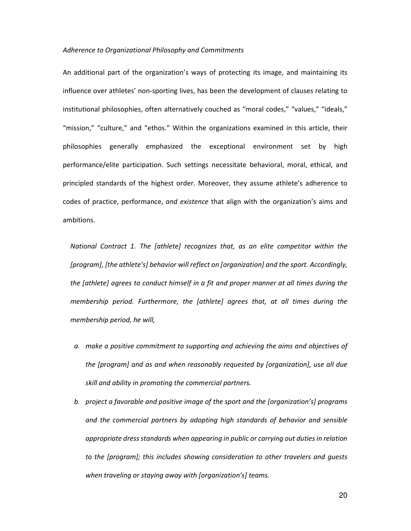#### *Adherence to Organizational Philosophy and Commitments*

An additional part of the organization's ways of protecting its image, and maintaining its influence over athletes' non-sporting lives, has been the development of clauses relating to institutional philosophies, often alternatively couched as "moral codes," "values," "ideals," "mission," "culture," and "ethos." Within the organizations examined in this article, their philosophies generally emphasized the exceptional environment set by high performance/elite participation. Such settings necessitate behavioral, moral, ethical, and principled standards of the highest order. Moreover, they assume athlete's adherence to codes of practice, performance, *and existence* that align with the organization's aims and ambitions.

*National Contract 1. The [athlete] recognizes that, as an elite competitor within the [program], [the athlete's] behavior will reflect on [organization] and the sport. Accordingly, the [athlete] agrees to conduct himself in a fit and proper manner at all times during the membership period. Furthermore, the [athlete] agrees that, at all times during the membership period, he will,* 

- *a. make a positive commitment to supporting and achieving the aims and objectives of the [program] and as and when reasonably requested by [organization], use all due skill and ability in promoting the commercial partners.*
- *b. project a favorable and positive image of the sport and the [organization's] programs and the commercial partners by adopting high standards of behavior and sensible appropriate dress standards when appearing in public or carrying out duties in relation to the [program]; this includes showing consideration to other travelers and guests when traveling or staying away with [organization's] teams.*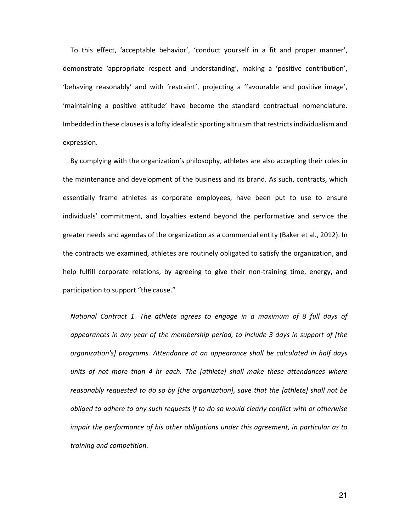To this effect, 'acceptable behavior', 'conduct yourself in a fit and proper manner', demonstrate 'appropriate respect and understanding', making a 'positive contribution', 'behaving reasonably' and with 'restraint', projecting a 'favourable and positive image', 'maintaining a positive attitude' have become the standard contractual nomenclature. Imbedded in these clauses is a lofty idealistic sporting altruism that restricts individualism and expression.

By complying with the organization's philosophy, athletes are also accepting their roles in the maintenance and development of the business and its brand. As such, contracts, which essentially frame athletes as corporate employees, have been put to use to ensure individuals' commitment, and loyalties extend beyond the performative and service the greater needs and agendas of the organization as a commercial entity (Baker et al., 2012). In the contracts we examined, athletes are routinely obligated to satisfy the organization, and help fulfill corporate relations, by agreeing to give their non-training time, energy, and participation to support "the cause."

*National Contract 1. The athlete agrees to engage in a maximum of 8 full days of appearances in any year of the membership period, to include 3 days in support of [the organization's] programs. Attendance at an appearance shall be calculated in half days units of not more than 4 hr each. The [athlete] shall make these attendances where reasonably requested to do so by [the organization], save that the [athlete] shall not be obliged to adhere to any such requests if to do so would clearly conflict with or otherwise impair the performance of his other obligations under this agreement, in particular as to training and competition.*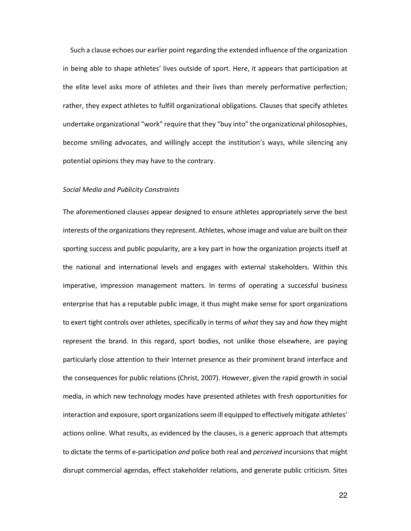Such a clause echoes our earlier point regarding the extended influence of the organization in being able to shape athletes' lives outside of sport. Here, it appears that participation at the elite level asks more of athletes and their lives than merely performative perfection; rather, they expect athletes to fulfill organizational obligations. Clauses that specify athletes undertake organizational "work" require that they "buy into" the organizational philosophies, become smiling advocates, and willingly accept the institution's ways, while silencing any potential opinions they may have to the contrary.

### *Social Media and Publicity Constraints*

The aforementioned clauses appear designed to ensure athletes appropriately serve the best interests of the organizations they represent. Athletes, whose image and value are built on their sporting success and public popularity, are a key part in how the organization projects itself at the national and international levels and engages with external stakeholders. Within this imperative, impression management matters. In terms of operating a successful business enterprise that has a reputable public image, it thus might make sense for sport organizations to exert tight controls over athletes, specifically in terms of *what* they say and *how* they might represent the brand. In this regard, sport bodies, not unlike those elsewhere, are paying particularly close attention to their Internet presence as their prominent brand interface and the consequences for public relations (Christ, 2007). However, given the rapid growth in social media, in which new technology modes have presented athletes with fresh opportunities for interaction and exposure, sport organizations seem ill equipped to effectively mitigate athletes' actions online. What results, as evidenced by the clauses, is a generic approach that attempts to dictate the terms of e-participation *and* police both real and *perceived* incursions that might disrupt commercial agendas, effect stakeholder relations, and generate public criticism. Sites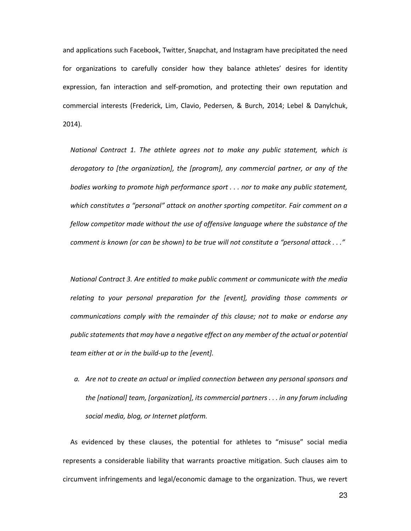and applications such Facebook, Twitter, Snapchat, and Instagram have precipitated the need for organizations to carefully consider how they balance athletes' desires for identity expression, fan interaction and self-promotion, and protecting their own reputation and commercial interests (Frederick, Lim, Clavio, Pedersen, & Burch, 2014; Lebel & Danylchuk, 2014).

*National Contract 1. The athlete agrees not to make any public statement, which is derogatory to [the organization], the [program], any commercial partner, or any of the bodies working to promote high performance sport . . . nor to make any public statement, which constitutes a "personal" attack on another sporting competitor. Fair comment on a fellow competitor made without the use of offensive language where the substance of the comment is known (or can be shown) to be true will not constitute a "personal attack . . ."* 

*National Contract 3. Are entitled to make public comment or communicate with the media relating to your personal preparation for the [event], providing those comments or communications comply with the remainder of this clause; not to make or endorse any public statements that may have a negative effect on any member of the actual or potential team either at or in the build-up to the [event].* 

*a. Are not to create an actual or implied connection between any personal sponsors and the [national] team, [organization], its commercial partners . . . in any forum including social media, blog, or Internet platform.* 

As evidenced by these clauses, the potential for athletes to "misuse" social media represents a considerable liability that warrants proactive mitigation. Such clauses aim to circumvent infringements and legal/economic damage to the organization. Thus, we revert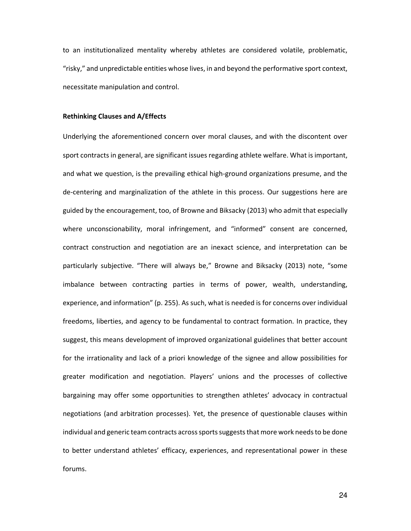to an institutionalized mentality whereby athletes are considered volatile, problematic, "risky," and unpredictable entities whose lives, in and beyond the performative sport context, necessitate manipulation and control.

## **Rethinking Clauses and A/Effects**

Underlying the aforementioned concern over moral clauses, and with the discontent over sport contracts in general, are significant issues regarding athlete welfare. What is important, and what we question, is the prevailing ethical high-ground organizations presume, and the de-centering and marginalization of the athlete in this process. Our suggestions here are guided by the encouragement, too, of Browne and Biksacky (2013) who admit that especially where unconscionability, moral infringement, and "informed" consent are concerned, contract construction and negotiation are an inexact science, and interpretation can be particularly subjective. "There will always be," Browne and Biksacky (2013) note, "some imbalance between contracting parties in terms of power, wealth, understanding, experience, and information" (p. 255). As such, what is needed is for concerns over individual freedoms, liberties, and agency to be fundamental to contract formation. In practice, they suggest, this means development of improved organizational guidelines that better account for the irrationality and lack of a priori knowledge of the signee and allow possibilities for greater modification and negotiation. Players' unions and the processes of collective bargaining may offer some opportunities to strengthen athletes' advocacy in contractual negotiations (and arbitration processes). Yet, the presence of questionable clauses within individual and generic team contracts across sports suggests that more work needs to be done to better understand athletes' efficacy, experiences, and representational power in these forums.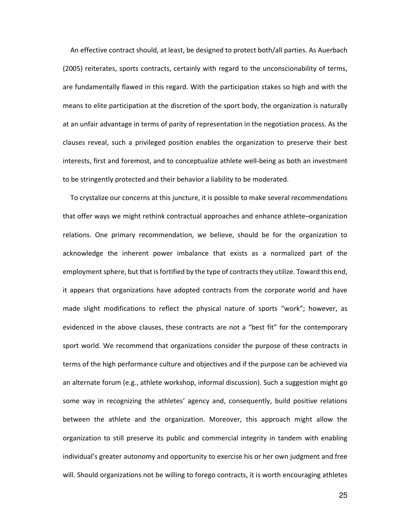An effective contract should, at least, be designed to protect both/all parties. As Auerbach (2005) reiterates, sports contracts, certainly with regard to the unconscionability of terms, are fundamentally flawed in this regard. With the participation stakes so high and with the means to elite participation at the discretion of the sport body, the organization is naturally at an unfair advantage in terms of parity of representation in the negotiation process. As the clauses reveal, such a privileged position enables the organization to preserve their best interests, first and foremost, and to conceptualize athlete well-being as both an investment to be stringently protected and their behavior a liability to be moderated.

To crystalize our concerns at this juncture, it is possible to make several recommendations that offer ways we might rethink contractual approaches and enhance athlete–organization relations. One primary recommendation, we believe, should be for the organization to acknowledge the inherent power imbalance that exists as a normalized part of the employment sphere, but that is fortified by the type of contracts they utilize. Toward this end, it appears that organizations have adopted contracts from the corporate world and have made slight modifications to reflect the physical nature of sports "work"; however, as evidenced in the above clauses, these contracts are not a "best fit" for the contemporary sport world. We recommend that organizations consider the purpose of these contracts in terms of the high performance culture and objectives and if the purpose can be achieved via an alternate forum (e.g., athlete workshop, informal discussion). Such a suggestion might go some way in recognizing the athletes' agency and, consequently, build positive relations between the athlete and the organization. Moreover, this approach might allow the organization to still preserve its public and commercial integrity in tandem with enabling individual's greater autonomy and opportunity to exercise his or her own judgment and free will. Should organizations not be willing to forego contracts, it is worth encouraging athletes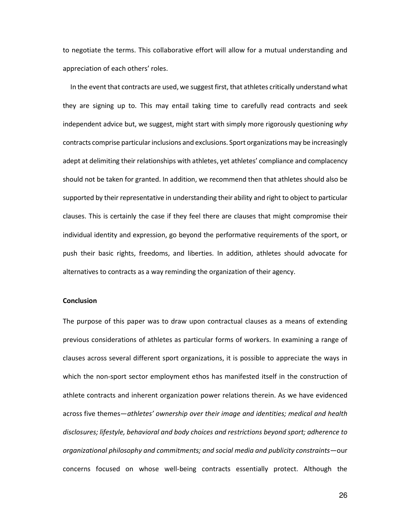to negotiate the terms. This collaborative effort will allow for a mutual understanding and appreciation of each others' roles.

In the event that contracts are used, we suggest first, that athletes critically understand what they are signing up to. This may entail taking time to carefully read contracts and seek independent advice but, we suggest, might start with simply more rigorously questioning *why* contracts comprise particular inclusions and exclusions. Sport organizations may be increasingly adept at delimiting their relationships with athletes, yet athletes' compliance and complacency should not be taken for granted. In addition, we recommend then that athletes should also be supported by their representative in understanding their ability and right to object to particular clauses. This is certainly the case if they feel there are clauses that might compromise their individual identity and expression, go beyond the performative requirements of the sport, or push their basic rights, freedoms, and liberties. In addition, athletes should advocate for alternatives to contracts as a way reminding the organization of their agency.

# **Conclusion**

The purpose of this paper was to draw upon contractual clauses as a means of extending previous considerations of athletes as particular forms of workers. In examining a range of clauses across several different sport organizations, it is possible to appreciate the ways in which the non-sport sector employment ethos has manifested itself in the construction of athlete contracts and inherent organization power relations therein. As we have evidenced across five themes—*athletes' ownership over their image and identities; medical and health disclosures; lifestyle, behavioral and body choices and restrictions beyond sport; adherence to organizational philosophy and commitments; and social media and publicity constraints—*our concerns focused on whose well-being contracts essentially protect. Although the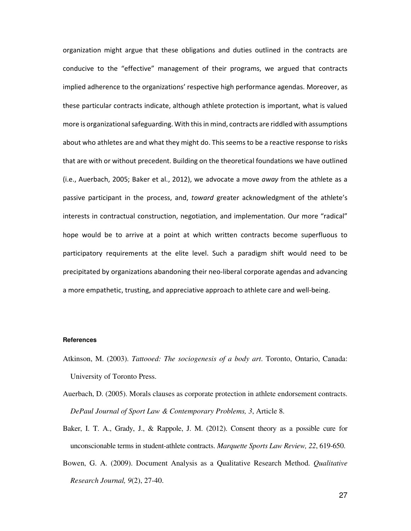organization might argue that these obligations and duties outlined in the contracts are conducive to the "effective" management of their programs, we argued that contracts implied adherence to the organizations' respective high performance agendas. Moreover, as these particular contracts indicate, although athlete protection is important, what is valued more is organizational safeguarding. With this in mind, contracts are riddled with assumptions about who athletes are and what they might do. This seems to be a reactive response to risks that are with or without precedent. Building on the theoretical foundations we have outlined (i.e., Auerbach, 2005; Baker et al., 2012), we advocate a move *away* from the athlete as a passive participant in the process, and, *toward* greater acknowledgment of the athlete's interests in contractual construction, negotiation, and implementation. Our more "radical" hope would be to arrive at a point at which written contracts become superfluous to participatory requirements at the elite level. Such a paradigm shift would need to be precipitated by organizations abandoning their neo-liberal corporate agendas and advancing a more empathetic, trusting, and appreciative approach to athlete care and well-being.

#### **References**

- Atkinson, M. (2003). *Tattooed: The sociogenesis of a body art*. Toronto, Ontario, Canada: University of Toronto Press.
- Auerbach, D. (2005). Morals clauses as corporate protection in athlete endorsement contracts. *DePaul Journal of Sport Law & Contemporary Problems, 3*, Article 8.
- Baker, I. T. A., Grady, J., & Rappole, J. M. (2012). Consent theory as a possible cure for unconscionable terms in student-athlete contracts. *Marquette Sports Law Review, 22*, 619-650.
- Bowen, G. A. (2009). Document Analysis as a Qualitative Research Method. *Qualitative Research Journal, 9*(2), 27-40.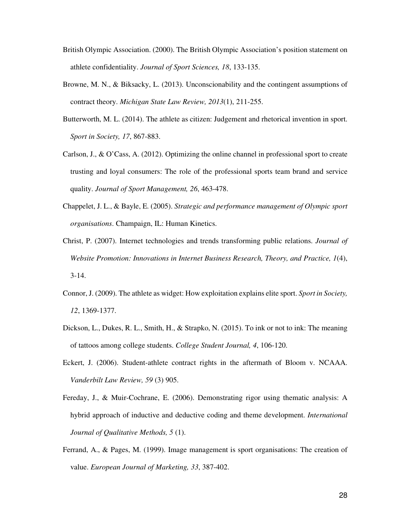- British Olympic Association. (2000). The British Olympic Association's position statement on athlete confidentiality. *Journal of Sport Sciences, 18*, 133-135.
- Browne, M. N., & Biksacky, L. (2013). Unconscionability and the contingent assumptions of contract theory. *Michigan State Law Review, 2013*(1), 211-255.
- Butterworth, M. L. (2014). The athlete as citizen: Judgement and rhetorical invention in sport. *Sport in Society, 17*, 867-883.
- Carlson, J., & O'Cass, A. (2012). Optimizing the online channel in professional sport to create trusting and loyal consumers: The role of the professional sports team brand and service quality. *Journal of Sport Management, 26*, 463-478.
- Chappelet, J. L., & Bayle, E. (2005). *Strategic and performance management of Olympic sport organisations*. Champaign, IL: Human Kinetics.
- Christ, P. (2007). Internet technologies and trends transforming public relations. *Journal of Website Promotion: Innovations in Internet Business Research, Theory, and Practice, 1*(4), 3-14.
- Connor, J. (2009). The athlete as widget: How exploitation explains elite sport. *Sport in Society, 12*, 1369-1377.
- Dickson, L., Dukes, R. L., Smith, H., & Strapko, N. (2015). To ink or not to ink: The meaning of tattoos among college students. *College Student Journal, 4*, 106-120.
- Eckert, J. (2006). Student-athlete contract rights in the aftermath of Bloom v. NCAAA. *Vanderbilt Law Review, 59* (3) 905.
- Fereday, J., & Muir-Cochrane, E. (2006). Demonstrating rigor using thematic analysis: A hybrid approach of inductive and deductive coding and theme development. *International Journal of Qualitative Methods, 5* (1).
- Ferrand, A., & Pages, M. (1999). Image management is sport organisations: The creation of value. *European Journal of Marketing, 33*, 387-402.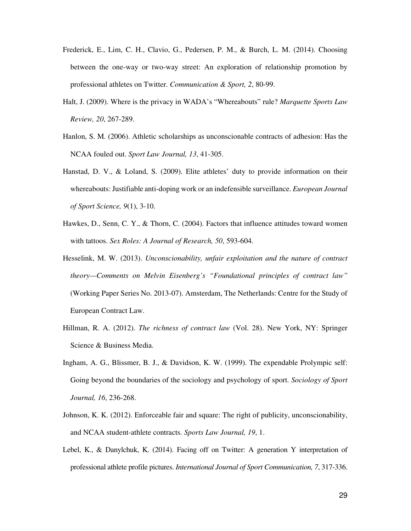- Frederick, E., Lim, C. H., Clavio, G., Pedersen, P. M., & Burch, L. M. (2014). Choosing between the one-way or two-way street: An exploration of relationship promotion by professional athletes on Twitter. *Communication & Sport, 2*, 80-99.
- Halt, J. (2009). Where is the privacy in WADA's "Whereabouts" rule? *Marquette Sports Law Review, 20*, 267-289.
- Hanlon, S. M. (2006). Athletic scholarships as unconscionable contracts of adhesion: Has the NCAA fouled out. *Sport Law Journal, 13*, 41-305.
- Hanstad, D. V., & Loland, S. (2009). Elite athletes' duty to provide information on their whereabouts: Justifiable anti-doping work or an indefensible surveillance. *European Journal of Sport Science, 9*(1), 3-10.
- Hawkes, D., Senn, C. Y., & Thorn, C. (2004). Factors that influence attitudes toward women with tattoos. *Sex Roles: A Journal of Research, 50*, 593-604.
- Hesselink, M. W. (2013). *Unconscionability, unfair exploitation and the nature of contract theory—Comments on Melvin Eisenberg's "Foundational principles of contract law"* (Working Paper Series No. 2013-07). Amsterdam, The Netherlands: Centre for the Study of European Contract Law.
- Hillman, R. A. (2012). *The richness of contract law* (Vol. 28). New York, NY: Springer Science & Business Media.
- Ingham, A. G., Blissmer, B. J., & Davidson, K. W. (1999). The expendable Prolympic self: Going beyond the boundaries of the sociology and psychology of sport. *Sociology of Sport Journal, 16*, 236-268.
- Johnson, K. K. (2012). Enforceable fair and square: The right of publicity, unconscionability, and NCAA student-athlete contracts. *Sports Law Journal, 19*, 1.
- Lebel, K., & Danylchuk, K. (2014). Facing off on Twitter: A generation Y interpretation of professional athlete profile pictures. *International Journal of Sport Communication, 7*, 317-336.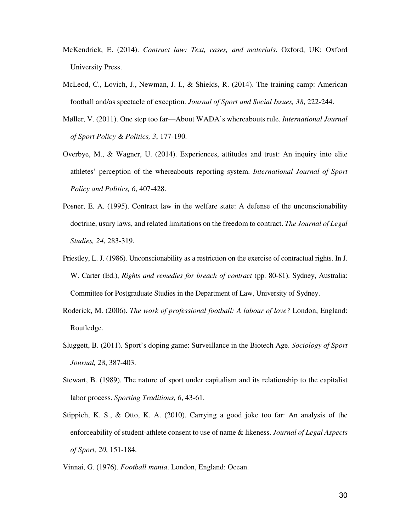- McKendrick, E. (2014). *Contract law: Text, cases, and materials*. Oxford, UK: Oxford University Press.
- McLeod, C., Lovich, J., Newman, J. I., & Shields, R. (2014). The training camp: American football and/as spectacle of exception. *Journal of Sport and Social Issues, 38*, 222-244.
- Møller, V. (2011). One step too far—About WADA's whereabouts rule. *International Journal of Sport Policy & Politics, 3*, 177-190.
- Overbye, M., & Wagner, U. (2014). Experiences, attitudes and trust: An inquiry into elite athletes' perception of the whereabouts reporting system. *International Journal of Sport Policy and Politics, 6*, 407-428.
- Posner, E. A. (1995). Contract law in the welfare state: A defense of the unconscionability doctrine, usury laws, and related limitations on the freedom to contract. *The Journal of Legal Studies, 24*, 283-319.
- Priestley, L. J. (1986). Unconscionability as a restriction on the exercise of contractual rights. In J. W. Carter (Ed.), *Rights and remedies for breach of contract* (pp. 80-81). Sydney, Australia: Committee for Postgraduate Studies in the Department of Law, University of Sydney.
- Roderick, M. (2006). *The work of professional football: A labour of love?* London, England: Routledge.
- Sluggett, B. (2011). Sport's doping game: Surveillance in the Biotech Age. *Sociology of Sport Journal, 28*, 387-403.
- Stewart, B. (1989). The nature of sport under capitalism and its relationship to the capitalist labor process. *Sporting Traditions, 6*, 43-61.
- Stippich, K. S., & Otto, K. A. (2010). Carrying a good joke too far: An analysis of the enforceability of student-athlete consent to use of name & likeness. *Journal of Legal Aspects of Sport, 20*, 151-184.
- Vinnai, G. (1976). *Football mania*. London, England: Ocean.